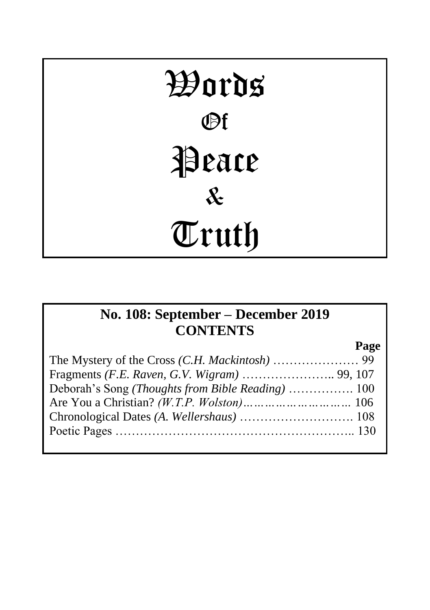# Words Of Peace & Truth

## **No. 108: September – December 2019 CONTENTS**

**Page**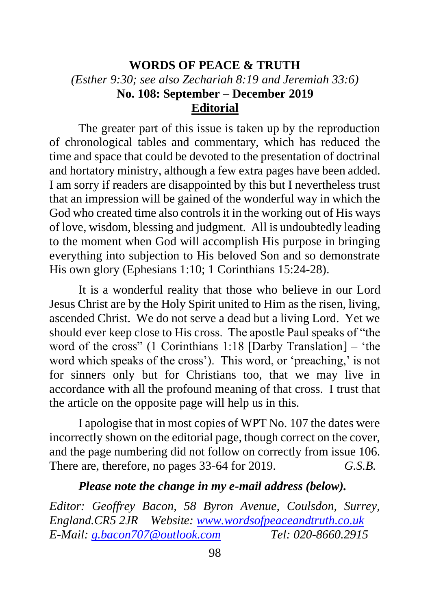#### **WORDS OF PEACE & TRUTH** *(Esther 9:30; see also Zechariah 8:19 and Jeremiah 33:6)* **No. 108: September – December 2019 Editorial**

The greater part of this issue is taken up by the reproduction of chronological tables and commentary, which has reduced the time and space that could be devoted to the presentation of doctrinal and hortatory ministry, although a few extra pages have been added. I am sorry if readers are disappointed by this but I nevertheless trust that an impression will be gained of the wonderful way in which the God who created time also controls it in the working out of His ways of love, wisdom, blessing and judgment. All is undoubtedly leading to the moment when God will accomplish His purpose in bringing everything into subjection to His beloved Son and so demonstrate His own glory (Ephesians 1:10; 1 Corinthians 15:24-28).

It is a wonderful reality that those who believe in our Lord Jesus Christ are by the Holy Spirit united to Him as the risen, living, ascended Christ. We do not serve a dead but a living Lord. Yet we should ever keep close to His cross. The apostle Paul speaks of "the word of the cross" (1 Corinthians 1:18 [Darby Translation] – 'the word which speaks of the cross'). This word, or 'preaching,' is not for sinners only but for Christians too, that we may live in accordance with all the profound meaning of that cross. I trust that the article on the opposite page will help us in this.

I apologise that in most copies of WPT No. 107 the dates were incorrectly shown on the editorial page, though correct on the cover, and the page numbering did not follow on correctly from issue 106. There are, therefore, no pages 33-64 for 2019. *G.S.B.*

#### *Please note the change in my e-mail address (below).*

*Editor: Geoffrey Bacon, 58 Byron Avenue, Coulsdon, Surrey, England.CR5 2JR Website: [www.wordsofpeaceandtruth.co.uk](http://www.wordsofpeaceandtruth.co.uk/) E-Mail: [g.bacon707@outlook.com](mailto:g.bacon707@outlook.com) Tel: 020-8660.2915*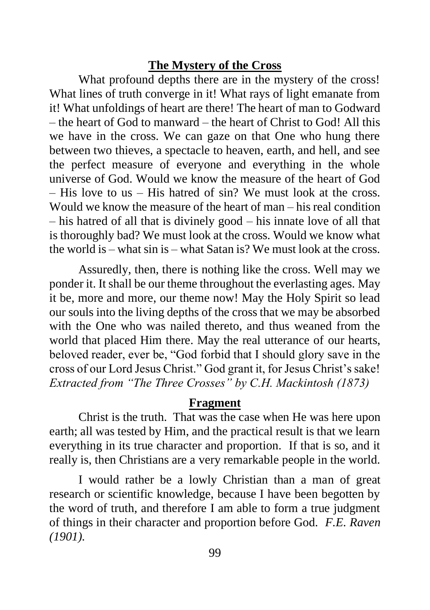#### **The Mystery of the Cross**

What profound depths there are in the mystery of the cross! What lines of truth converge in it! What rays of light emanate from it! What unfoldings of heart are there! The heart of man to Godward – the heart of God to manward – the heart of Christ to God! All this we have in the cross. We can gaze on that One who hung there between two thieves, a spectacle to heaven, earth, and hell, and see the perfect measure of everyone and everything in the whole universe of God. Would we know the measure of the heart of God – His love to us – His hatred of sin? We must look at the cross. Would we know the measure of the heart of man – his real condition – his hatred of all that is divinely good – his innate love of all that is thoroughly bad? We must look at the cross. Would we know what the world is – what sin is – what Satan is? We must look at the cross.

Assuredly, then, there is nothing like the cross. Well may we ponder it. It shall be our theme throughout the everlasting ages. May it be, more and more, our theme now! May the Holy Spirit so lead our souls into the living depths of the cross that we may be absorbed with the One who was nailed thereto, and thus weaned from the world that placed Him there. May the real utterance of our hearts, beloved reader, ever be, "God forbid that I should glory save in the cross of our Lord Jesus Christ." God grant it, for Jesus Christ's sake! *Extracted from "The Three Crosses" by C.H. Mackintosh (1873)*

#### **Fragment**

Christ is the truth. That was the case when He was here upon earth; all was tested by Him, and the practical result is that we learn everything in its true character and proportion. If that is so, and it really is, then Christians are a very remarkable people in the world.

I would rather be a lowly Christian than a man of great research or scientific knowledge, because I have been begotten by the word of truth, and therefore I am able to form a true judgment of things in their character and proportion before God. *F.E. Raven (1901).*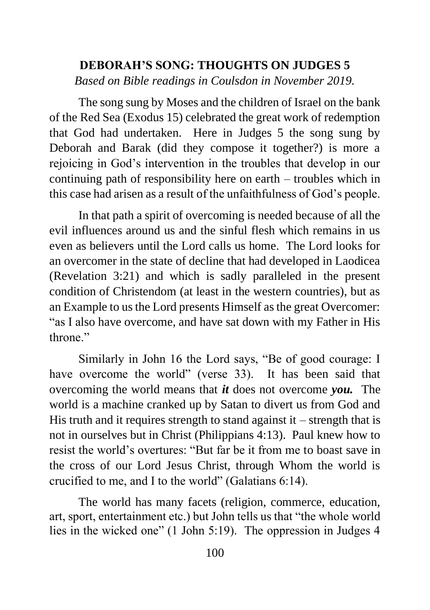## **DEBORAH'S SONG: THOUGHTS ON JUDGES 5** *Based on Bible readings in Coulsdon in November 2019.*

The song sung by Moses and the children of Israel on the bank of the Red Sea (Exodus 15) celebrated the great work of redemption that God had undertaken. Here in Judges 5 the song sung by Deborah and Barak (did they compose it together?) is more a rejoicing in God's intervention in the troubles that develop in our continuing path of responsibility here on earth – troubles which in this case had arisen as a result of the unfaithfulness of God's people.

In that path a spirit of overcoming is needed because of all the evil influences around us and the sinful flesh which remains in us even as believers until the Lord calls us home. The Lord looks for an overcomer in the state of decline that had developed in Laodicea (Revelation 3:21) and which is sadly paralleled in the present condition of Christendom (at least in the western countries), but as an Example to us the Lord presents Himself as the great Overcomer: "as I also have overcome, and have sat down with my Father in His throne"

Similarly in John 16 the Lord says, "Be of good courage: I have overcome the world" (verse 33). It has been said that overcoming the world means that *it* does not overcome *you.* The world is a machine cranked up by Satan to divert us from God and His truth and it requires strength to stand against  $it$  – strength that is not in ourselves but in Christ (Philippians 4:13). Paul knew how to resist the world's overtures: "But far be it from me to boast save in the cross of our Lord Jesus Christ, through Whom the world is crucified to me, and I to the world" (Galatians 6:14).

The world has many facets (religion, commerce, education, art, sport, entertainment etc.) but John tells us that "the whole world lies in the wicked one" (1 John 5:19). The oppression in Judges 4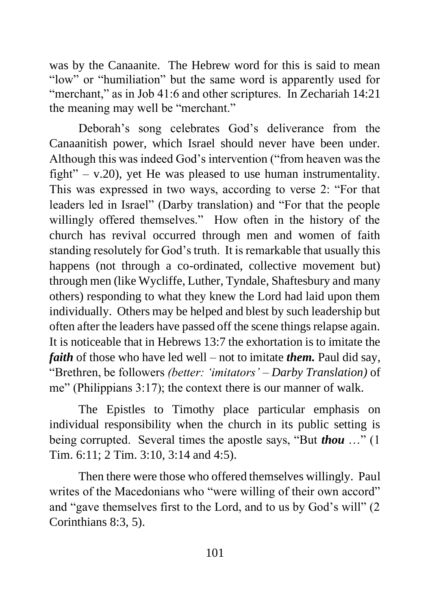was by the Canaanite. The Hebrew word for this is said to mean "low" or "humiliation" but the same word is apparently used for "merchant," as in Job 41:6 and other scriptures. In Zechariah 14:21 the meaning may well be "merchant."

Deborah's song celebrates God's deliverance from the Canaanitish power, which Israel should never have been under. Although this was indeed God's intervention ("from heaven was the fight" – v.20), yet He was pleased to use human instrumentality. This was expressed in two ways, according to verse 2: "For that leaders led in Israel" (Darby translation) and "For that the people willingly offered themselves." How often in the history of the church has revival occurred through men and women of faith standing resolutely for God's truth. It is remarkable that usually this happens (not through a co-ordinated, collective movement but) through men (like Wycliffe, Luther, Tyndale, Shaftesbury and many others) responding to what they knew the Lord had laid upon them individually. Others may be helped and blest by such leadership but often after the leaders have passed off the scene things relapse again. It is noticeable that in Hebrews 13:7 the exhortation is to imitate the *faith* of those who have led well – not to imitate *them.* Paul did say, "Brethren, be followers *(better: 'imitators' – Darby Translation)* of me" (Philippians 3:17); the context there is our manner of walk.

The Epistles to Timothy place particular emphasis on individual responsibility when the church in its public setting is being corrupted. Several times the apostle says, "But *thou* …" (1 Tim. 6:11; 2 Tim. 3:10, 3:14 and 4:5).

Then there were those who offered themselves willingly. Paul writes of the Macedonians who "were willing of their own accord" and "gave themselves first to the Lord, and to us by God's will" (2 Corinthians 8:3, 5).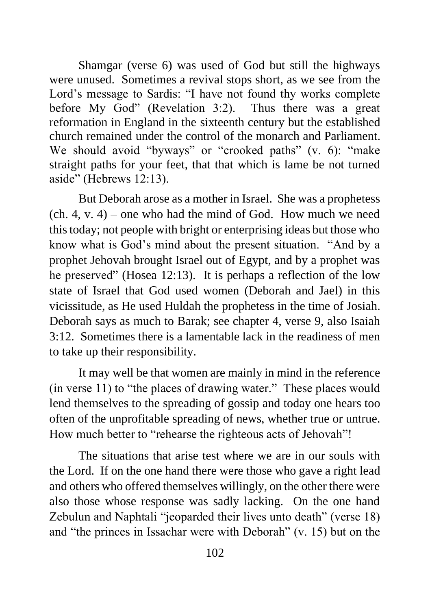Shamgar (verse 6) was used of God but still the highways were unused. Sometimes a revival stops short, as we see from the Lord's message to Sardis: "I have not found thy works complete before My God" (Revelation 3:2). Thus there was a great reformation in England in the sixteenth century but the established church remained under the control of the monarch and Parliament. We should avoid "byways" or "crooked paths" (v. 6): "make straight paths for your feet, that that which is lame be not turned aside" (Hebrews 12:13).

But Deborah arose as a mother in Israel. She was a prophetess  $(ch. 4, v. 4)$  – one who had the mind of God. How much we need this today; not people with bright or enterprising ideas but those who know what is God's mind about the present situation. "And by a prophet Jehovah brought Israel out of Egypt, and by a prophet was he preserved" (Hosea 12:13). It is perhaps a reflection of the low state of Israel that God used women (Deborah and Jael) in this vicissitude, as He used Huldah the prophetess in the time of Josiah. Deborah says as much to Barak; see chapter 4, verse 9, also Isaiah 3:12. Sometimes there is a lamentable lack in the readiness of men to take up their responsibility.

It may well be that women are mainly in mind in the reference (in verse 11) to "the places of drawing water." These places would lend themselves to the spreading of gossip and today one hears too often of the unprofitable spreading of news, whether true or untrue. How much better to "rehearse the righteous acts of Jehovah"!

The situations that arise test where we are in our souls with the Lord. If on the one hand there were those who gave a right lead and others who offered themselves willingly, on the other there were also those whose response was sadly lacking. On the one hand Zebulun and Naphtali "jeoparded their lives unto death" (verse 18) and "the princes in Issachar were with Deborah" (v. 15) but on the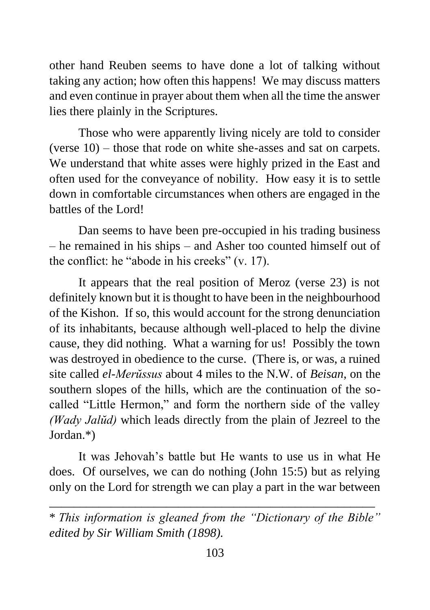other hand Reuben seems to have done a lot of talking without taking any action; how often this happens! We may discuss matters and even continue in prayer about them when all the time the answer lies there plainly in the Scriptures.

Those who were apparently living nicely are told to consider (verse 10) – those that rode on white she-asses and sat on carpets. We understand that white asses were highly prized in the East and often used for the conveyance of nobility. How easy it is to settle down in comfortable circumstances when others are engaged in the battles of the Lord!

Dan seems to have been pre-occupied in his trading business – he remained in his ships – and Asher too counted himself out of the conflict: he "abode in his creeks" (v. 17).

It appears that the real position of Meroz (verse 23) is not definitely known but it is thought to have been in the neighbourhood of the Kishon. If so, this would account for the strong denunciation of its inhabitants, because although well-placed to help the divine cause, they did nothing. What a warning for us! Possibly the town was destroyed in obedience to the curse. (There is, or was, a ruined site called *el-Merŭssus* about 4 miles to the N.W. of *Beisan*, on the southern slopes of the hills, which are the continuation of the socalled "Little Hermon," and form the northern side of the valley *(Wady Jalŭd)* which leads directly from the plain of Jezreel to the Jordan.\*)

It was Jehovah's battle but He wants to use us in what He does. Of ourselves, we can do nothing (John 15:5) but as relying only on the Lord for strength we can play a part in the war between

\_\_\_\_\_\_\_\_\_\_\_\_\_\_\_\_\_\_\_\_\_\_\_\_\_\_\_\_\_\_\_\_\_\_\_\_\_\_\_\_\_\_\_\_\_\_\_\_\_\_\_\_\_

<sup>\*</sup> *This information is gleaned from the "Dictionary of the Bible" edited by Sir William Smith (1898).*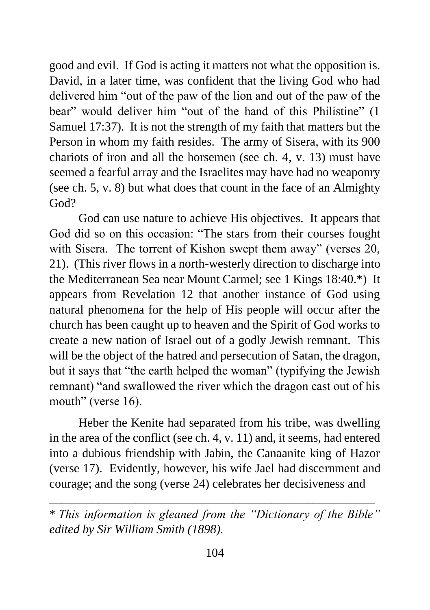good and evil. If God is acting it matters not what the opposition is. David, in a later time, was confident that the living God who had delivered him "out of the paw of the lion and out of the paw of the bear" would deliver him "out of the hand of this Philistine" (1 Samuel 17:37). It is not the strength of my faith that matters but the Person in whom my faith resides. The army of Sisera, with its 900 chariots of iron and all the horsemen (see ch. 4, v. 13) must have seemed a fearful array and the Israelites may have had no weaponry (see ch. 5, v. 8) but what does that count in the face of an Almighty God?

God can use nature to achieve His objectives. It appears that God did so on this occasion: "The stars from their courses fought with Sisera. The torrent of Kishon swept them away" (verses 20, 21). (This river flows in a north-westerly direction to discharge into the Mediterranean Sea near Mount Carmel; see 1 Kings 18:40.\*) It appears from Revelation 12 that another instance of God using natural phenomena for the help of His people will occur after the church has been caught up to heaven and the Spirit of God works to create a new nation of Israel out of a godly Jewish remnant. This will be the object of the hatred and persecution of Satan, the dragon, but it says that "the earth helped the woman" (typifying the Jewish remnant) "and swallowed the river which the dragon cast out of his mouth" (verse 16).

Heber the Kenite had separated from his tribe, was dwelling in the area of the conflict (see ch. 4, v. 11) and, it seems, had entered into a dubious friendship with Jabin, the Canaanite king of Hazor (verse 17). Evidently, however, his wife Jael had discernment and courage; and the song (verse 24) celebrates her decisiveness and

\_\_\_\_\_\_\_\_\_\_\_\_\_\_\_\_\_\_\_\_\_\_\_\_\_\_\_\_\_\_\_\_\_\_\_\_\_\_\_\_\_\_\_\_\_\_\_\_\_\_\_\_\_

<sup>\*</sup> *This information is gleaned from the "Dictionary of the Bible" edited by Sir William Smith (1898).*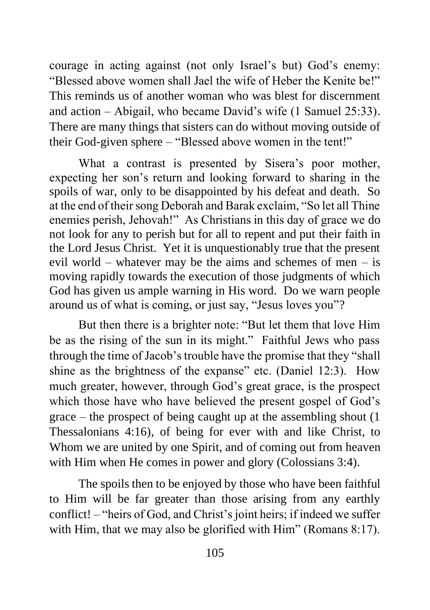courage in acting against (not only Israel's but) God's enemy: "Blessed above women shall Jael the wife of Heber the Kenite be!" This reminds us of another woman who was blest for discernment and action – Abigail, who became David's wife (1 Samuel 25:33). There are many things that sisters can do without moving outside of their God-given sphere – "Blessed above women in the tent!"

What a contrast is presented by Sisera's poor mother, expecting her son's return and looking forward to sharing in the spoils of war, only to be disappointed by his defeat and death. So at the end of their song Deborah and Barak exclaim, "So let all Thine enemies perish, Jehovah!" As Christians in this day of grace we do not look for any to perish but for all to repent and put their faith in the Lord Jesus Christ. Yet it is unquestionably true that the present evil world – whatever may be the aims and schemes of men – is moving rapidly towards the execution of those judgments of which God has given us ample warning in His word. Do we warn people around us of what is coming, or just say, "Jesus loves you"?

But then there is a brighter note: "But let them that love Him be as the rising of the sun in its might." Faithful Jews who pass through the time of Jacob's trouble have the promise that they "shall shine as the brightness of the expanse" etc. (Daniel 12:3). How much greater, however, through God's great grace, is the prospect which those have who have believed the present gospel of God's grace – the prospect of being caught up at the assembling shout (1 Thessalonians 4:16), of being for ever with and like Christ, to Whom we are united by one Spirit, and of coming out from heaven with Him when He comes in power and glory (Colossians 3:4).

The spoils then to be enjoyed by those who have been faithful to Him will be far greater than those arising from any earthly conflict! – "heirs of God, and Christ's joint heirs; if indeed we suffer with Him, that we may also be glorified with Him" (Romans 8:17).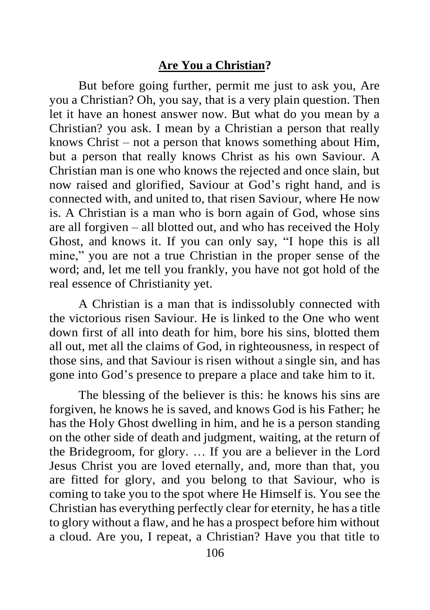#### **Are You a Christian?**

But before going further, permit me just to ask you, Are you a Christian? Oh, you say, that is a very plain question. Then let it have an honest answer now. But what do you mean by a Christian? you ask. I mean by a Christian a person that really knows Christ – not a person that knows something about Him, but a person that really knows Christ as his own Saviour. A Christian man is one who knows the rejected and once slain, but now raised and glorified, Saviour at God's right hand, and is connected with, and united to, that risen Saviour, where He now is. A Christian is a man who is born again of God, whose sins are all forgiven – all blotted out, and who has received the Holy Ghost, and knows it. If you can only say, "I hope this is all mine," you are not a true Christian in the proper sense of the word; and, let me tell you frankly, you have not got hold of the real essence of Christianity yet.

A Christian is a man that is indissolubly connected with the victorious risen Saviour. He is linked to the One who went down first of all into death for him, bore his sins, blotted them all out, met all the claims of God, in righteousness, in respect of those sins, and that Saviour is risen without a single sin, and has gone into God's presence to prepare a place and take him to it.

The blessing of the believer is this: he knows his sins are forgiven, he knows he is saved, and knows God is his Father; he has the Holy Ghost dwelling in him, and he is a person standing on the other side of death and judgment, waiting, at the return of the Bridegroom, for glory. … If you are a believer in the Lord Jesus Christ you are loved eternally, and, more than that, you are fitted for glory, and you belong to that Saviour, who is coming to take you to the spot where He Himself is. You see the Christian has everything perfectly clear for eternity, he has a title to glory without a flaw, and he has a prospect before him without a cloud. Are you, I repeat, a Christian? Have you that title to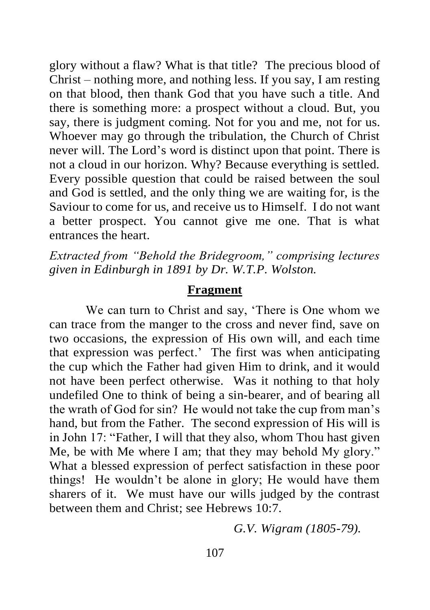glory without a flaw? What is that title? The precious blood of Christ – nothing more, and nothing less. If you say, I am resting on that blood, then thank God that you have such a title. And there is something more: a prospect without a cloud. But, you say, there is judgment coming. Not for you and me, not for us. Whoever may go through the tribulation, the Church of Christ never will. The Lord's word is distinct upon that point. There is not a cloud in our horizon. Why? Because everything is settled. Every possible question that could be raised between the soul and God is settled, and the only thing we are waiting for, is the Saviour to come for us, and receive us to Himself. I do not want a better prospect. You cannot give me one. That is what entrances the heart.

*Extracted from "Behold the Bridegroom," comprising lectures given in Edinburgh in 1891 by Dr. W.T.P. Wolston.*

#### **Fragment**

We can turn to Christ and say, 'There is One whom we can trace from the manger to the cross and never find, save on two occasions, the expression of His own will, and each time that expression was perfect.' The first was when anticipating the cup which the Father had given Him to drink, and it would not have been perfect otherwise. Was it nothing to that holy undefiled One to think of being a sin-bearer, and of bearing all the wrath of God for sin? He would not take the cup from man's hand, but from the Father. The second expression of His will is in John 17: "Father, I will that they also, whom Thou hast given Me, be with Me where I am; that they may behold My glory." What a blessed expression of perfect satisfaction in these poor things! He wouldn't be alone in glory; He would have them sharers of it. We must have our wills judged by the contrast between them and Christ; see Hebrews 10:7.

*G.V. Wigram (1805-79).*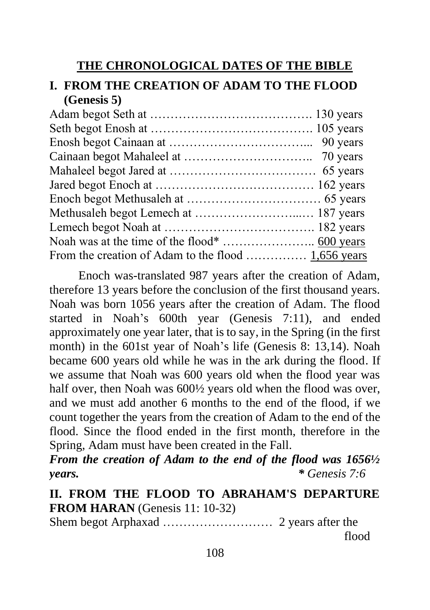## **THE CHRONOLOGICAL DATES OF THE BIBLE**

## **I. FROM THE CREATION OF ADAM TO THE FLOOD (Genesis 5)**

| From the creation of Adam to the flood  1,656 years |
|-----------------------------------------------------|
|                                                     |

Enoch was-translated 987 years after the creation of Adam, therefore 13 years before the conclusion of the first thousand years. Noah was born 1056 years after the creation of Adam. The flood started in Noah's 600th year (Genesis 7:11), and ended approximately one year later, that is to say, in the Spring (in the first month) in the 601st year of Noah's life (Genesis 8: 13,14). Noah became 600 years old while he was in the ark during the flood. If we assume that Noah was 600 years old when the flood year was half over, then Noah was 600½ years old when the flood was over. and we must add another 6 months to the end of the flood, if we count together the years from the creation of Adam to the end of the flood. Since the flood ended in the first month, therefore in the Spring, Adam must have been created in the Fall.

*From the creation of Adam to the end of the flood was 1656½ years. \* Genesis 7:6*

**II. FROM THE FLOOD TO ABRAHAM'S DEPARTURE FROM HARAN** (Genesis 11: 10-32)

Shem begot Arphaxad ……………………… 2 years after the flood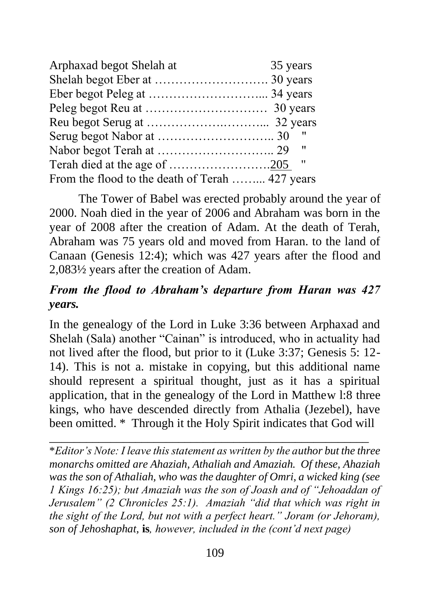| Arphaxad begot Shelah at                        | 35 years |
|-------------------------------------------------|----------|
|                                                 |          |
|                                                 |          |
|                                                 |          |
|                                                 |          |
|                                                 |          |
|                                                 |          |
|                                                 |          |
| From the flood to the death of Terah  427 years |          |

The Tower of Babel was erected probably around the year of 2000. Noah died in the year of 2006 and Abraham was born in the year of 2008 after the creation of Adam. At the death of Terah, Abraham was 75 years old and moved from Haran. to the land of Canaan (Genesis 12:4); which was 427 years after the flood and 2,083½ years after the creation of Adam.

## *From the flood to Abraham's departure from Haran was 427 years.*

In the genealogy of the Lord in Luke 3:36 between Arphaxad and Shelah (Sala) another "Cainan" is introduced, who in actuality had not lived after the flood, but prior to it (Luke 3:37; Genesis 5: 12- 14). This is not a. mistake in copying, but this additional name should represent a spiritual thought, just as it has a spiritual application, that in the genealogy of the Lord in Matthew l:8 three kings, who have descended directly from Athalia (Jezebel), have been omitted. \* Through it the Holy Spirit indicates that God will

\**Editor's Note: I leave this statement as written by the author but the three monarchs omitted are Ahaziah, Athaliah and Amaziah. Of these, Ahaziah was the son of Athaliah, who was the daughter of Omri, a wicked king (see 1 Kings 16:25); but Amaziah was the son of Joash and of "Jehoaddan of Jerusalem" (2 Chronicles 25:1). Amaziah "did that which was right in the sight of the Lord, but not with a perfect heart." Joram (or Jehoram), son of Jehoshaphat,* **is***, however, included in the (cont'd next page)* 

\_\_\_\_\_\_\_\_\_\_\_\_\_\_\_\_\_\_\_\_\_\_\_\_\_\_\_\_\_\_\_\_\_\_\_\_\_\_\_\_\_\_\_\_\_\_\_\_\_\_\_\_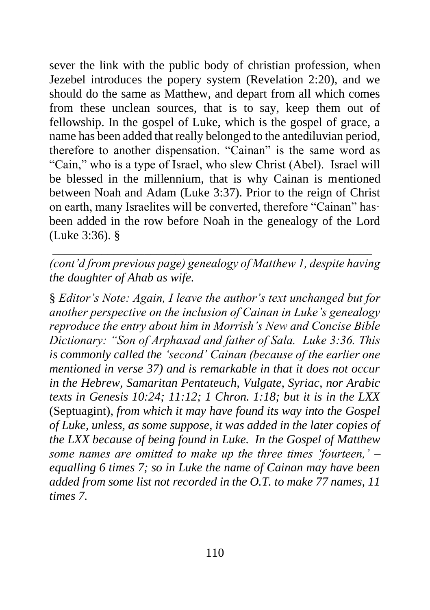sever the link with the public body of christian profession, when Jezebel introduces the popery system (Revelation 2:20), and we should do the same as Matthew, and depart from all which comes from these unclean sources, that is to say, keep them out of fellowship. In the gospel of Luke, which is the gospel of grace, a name has been added that really belonged to the antediluvian period, therefore to another dispensation. "Cainan" is the same word as "Cain," who is a type of Israel, who slew Christ (Abel). Israel will be blessed in the millennium, that is why Cainan is mentioned between Noah and Adam (Luke 3:37). Prior to the reign of Christ on earth, many Israelites will be converted, therefore "Cainan" has· been added in the row before Noah in the genealogy of the Lord (Luke 3:36). §

*(cont'd from previous page) genealogy of Matthew 1, despite having the daughter of Ahab as wife.*

\_\_\_\_\_\_\_\_\_\_\_\_\_\_\_\_\_\_\_\_\_\_\_\_\_\_\_\_\_\_\_\_\_\_\_\_\_\_\_\_\_\_\_\_\_\_\_\_\_\_\_\_

§ *Editor's Note: Again, I leave the author's text unchanged but for another perspective on the inclusion of Cainan in Luke's genealogy reproduce the entry about him in Morrish's New and Concise Bible Dictionary: "Son of Arphaxad and father of Sala. Luke 3:36. This is commonly called the 'second' Cainan (because of the earlier one mentioned in verse 37) and is remarkable in that it does not occur in the Hebrew, Samaritan Pentateuch, Vulgate, Syriac, nor Arabic texts in Genesis 10:24; 11:12; 1 Chron. 1:18; but it is in the LXX*  (Septuagint), *from which it may have found its way into the Gospel of Luke, unless, as some suppose, it was added in the later copies of the LXX because of being found in Luke. In the Gospel of Matthew some names are omitted to make up the three times 'fourteen,' – equalling 6 times 7; so in Luke the name of Cainan may have been added from some list not recorded in the O.T. to make 77 names, 11 times 7.*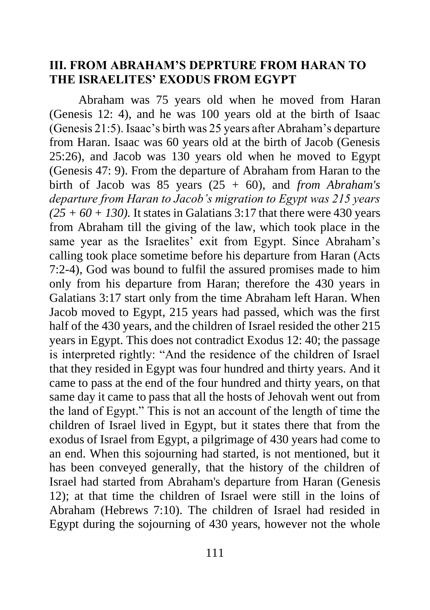#### **III. FROM ABRAHAM'S DEPRTURE FROM HARAN TO THE ISRAELITES' EXODUS FROM EGYPT**

Abraham was 75 years old when he moved from Haran (Genesis 12: 4), and he was 100 years old at the birth of Isaac (Genesis 21:5). Isaac's birth was 25 years after Abraham's departure from Haran. Isaac was 60 years old at the birth of Jacob (Genesis 25:26), and Jacob was 130 years old when he moved to Egypt (Genesis 47: 9). From the departure of Abraham from Haran to the birth of Jacob was 85 years (25 + 60), and *from Abraham's departure from Haran to Jacob's migration to Egypt was 215 years*   $(25 + 60 + 130)$ . It states in Galatians 3:17 that there were 430 years from Abraham till the giving of the law, which took place in the same year as the Israelites' exit from Egypt. Since Abraham's calling took place sometime before his departure from Haran (Acts 7:2-4), God was bound to fulfil the assured promises made to him only from his departure from Haran; therefore the 430 years in Galatians 3:17 start only from the time Abraham left Haran. When Jacob moved to Egypt, 215 years had passed, which was the first half of the 430 years, and the children of Israel resided the other 215 years in Egypt. This does not contradict Exodus 12: 40; the passage is interpreted rightly: "And the residence of the children of Israel that they resided in Egypt was four hundred and thirty years. And it came to pass at the end of the four hundred and thirty years, on that same day it came to pass that all the hosts of Jehovah went out from the land of Egypt." This is not an account of the length of time the children of Israel lived in Egypt, but it states there that from the exodus of Israel from Egypt, a pilgrimage of 430 years had come to an end. When this sojourning had started, is not mentioned, but it has been conveyed generally, that the history of the children of Israel had started from Abraham's departure from Haran (Genesis 12); at that time the children of Israel were still in the loins of Abraham (Hebrews 7:10). The children of Israel had resided in Egypt during the sojourning of 430 years, however not the whole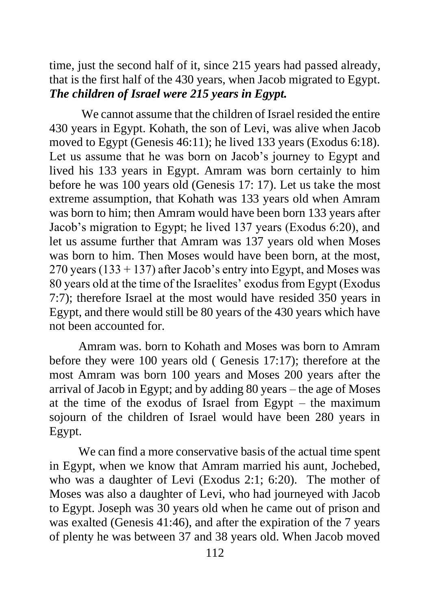time, just the second half of it, since 215 years had passed already, that is the first half of the 430 years, when Jacob migrated to Egypt. *The children of Israel were 215 years in Egypt.*

We cannot assume that the children of Israel resided the entire 430 years in Egypt. Kohath, the son of Levi, was alive when Jacob moved to Egypt (Genesis 46:11); he lived 133 years (Exodus 6:18). Let us assume that he was born on Jacob's journey to Egypt and lived his 133 years in Egypt. Amram was born certainly to him before he was 100 years old (Genesis 17: 17). Let us take the most extreme assumption, that Kohath was 133 years old when Amram was born to him; then Amram would have been born 133 years after Jacob's migration to Egypt; he lived 137 years (Exodus 6:20), and let us assume further that Amram was 137 years old when Moses was born to him. Then Moses would have been born, at the most,  $270$  years (133 + 137) after Jacob's entry into Egypt, and Moses was 80 years old at the time of the Israelites' exodus from Egypt (Exodus 7:7); therefore Israel at the most would have resided 350 years in Egypt, and there would still be 80 years of the 430 years which have not been accounted for.

Amram was. born to Kohath and Moses was born to Amram before they were 100 years old ( Genesis 17:17); therefore at the most Amram was born 100 years and Moses 200 years after the arrival of Jacob in Egypt; and by adding 80 years – the age of Moses at the time of the exodus of Israel from Egypt – the maximum sojourn of the children of Israel would have been 280 years in Egypt.

We can find a more conservative basis of the actual time spent in Egypt, when we know that Amram married his aunt, Jochebed, who was a daughter of Levi (Exodus 2:1; 6:20). The mother of Moses was also a daughter of Levi, who had journeyed with Jacob to Egypt. Joseph was 30 years old when he came out of prison and was exalted (Genesis 41:46), and after the expiration of the 7 years of plenty he was between 37 and 38 years old. When Jacob moved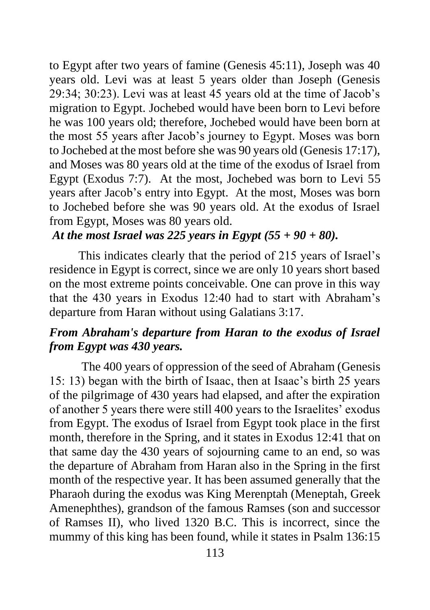to Egypt after two years of famine (Genesis 45:11), Joseph was 40 years old. Levi was at least 5 years older than Joseph (Genesis 29:34; 30:23). Levi was at least 45 years old at the time of Jacob's migration to Egypt. Jochebed would have been born to Levi before he was 100 years old; therefore, Jochebed would have been born at the most 55 years after Jacob's journey to Egypt. Moses was born to Jochebed at the most before she was 90 years old (Genesis 17:17), and Moses was 80 years old at the time of the exodus of Israel from Egypt (Exodus 7:7). At the most, Jochebed was born to Levi 55 years after Jacob's entry into Egypt. At the most, Moses was born to Jochebed before she was 90 years old. At the exodus of Israel from Egypt, Moses was 80 years old.

*At the most Israel was 225 years in Egypt (55 + 90 + 80).* 

This indicates clearly that the period of 215 years of Israel's residence in Egypt is correct, since we are only 10 years short based on the most extreme points conceivable. One can prove in this way that the 430 years in Exodus 12:40 had to start with Abraham's departure from Haran without using Galatians 3:17.

## *From Abraham's departure from Haran to the exodus of Israel from Egypt was 430 years.*

The 400 years of oppression of the seed of Abraham (Genesis 15: 13) began with the birth of Isaac, then at Isaac's birth 25 years of the pilgrimage of 430 years had elapsed, and after the expiration of another 5 years there were still 400 years to the Israelites' exodus from Egypt. The exodus of Israel from Egypt took place in the first month, therefore in the Spring, and it states in Exodus 12:41 that on that same day the 430 years of sojourning came to an end, so was the departure of Abraham from Haran also in the Spring in the first month of the respective year. It has been assumed generally that the Pharaoh during the exodus was King Merenptah (Meneptah, Greek Amenephthes), grandson of the famous Ramses (son and successor of Ramses II), who lived 1320 B.C. This is incorrect, since the mummy of this king has been found, while it states in Psalm 136:15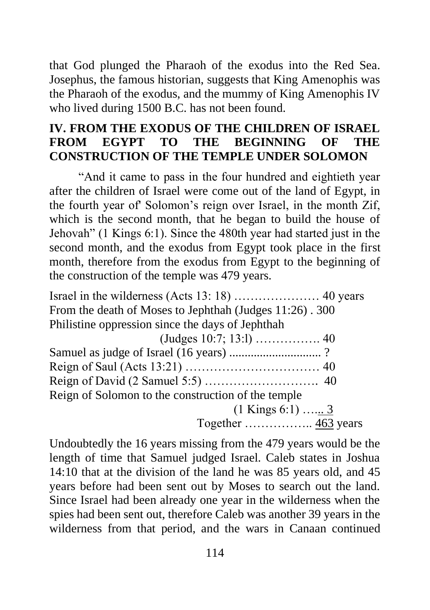that God plunged the Pharaoh of the exodus into the Red Sea. Josephus, the famous historian, suggests that King Amenophis was the Pharaoh of the exodus, and the mummy of King Amenophis IV who lived during 1500 B.C. has not been found.

## **IV. FROM THE EXODUS OF THE CHILDREN OF ISRAEL FROM EGYPT TO THE BEGINNING OF THE CONSTRUCTION OF THE TEMPLE UNDER SOLOMON**

"And it came to pass in the four hundred and eightieth year after the children of Israel were come out of the land of Egypt, in the fourth year of' Solomon's reign over Israel, in the month Zif, which is the second month, that he began to build the house of Jehovah" (1 Kings 6:1). Since the 480th year had started just in the second month, and the exodus from Egypt took place in the first month, therefore from the exodus from Egypt to the beginning of the construction of the temple was 479 years.

Israel in the wilderness (Acts 13: 18) ………………… 40 years From the death of Moses to Jephthah (Judges 11:26) . 300 Philistine oppression since the days of Jephthah

| Samuel as judge of Israel (16 years) ?             |  |
|----------------------------------------------------|--|
|                                                    |  |
|                                                    |  |
| Reign of Solomon to the construction of the temple |  |
| $(1$ Kings 6:1)  3                                 |  |
|                                                    |  |

Undoubtedly the 16 years missing from the 479 years would be the length of time that Samuel judged Israel. Caleb states in Joshua 14:10 that at the division of the land he was 85 years old, and 45 years before had been sent out by Moses to search out the land. Since Israel had been already one year in the wilderness when the spies had been sent out, therefore Caleb was another 39 years in the wilderness from that period, and the wars in Canaan continued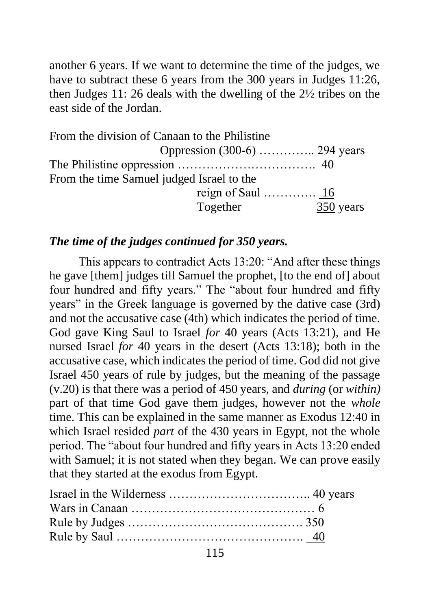another 6 years. If we want to determine the time of the judges, we have to subtract these 6 years from the 300 years in Judges 11:26, then Judges 11: 26 deals with the dwelling of the 2½ tribes on the east side of the Jordan.

| From the division of Canaan to the Philistine |          |                               |
|-----------------------------------------------|----------|-------------------------------|
|                                               |          | Oppression (300-6)  294 years |
|                                               |          |                               |
| From the time Samuel judged Israel to the     |          |                               |
|                                               |          |                               |
|                                               | Together | 350 years                     |

#### *The time of the judges continued for 350 years.*

This appears to contradict Acts 13:20: "And after these things he gave [them] judges till Samuel the prophet, [to the end of] about four hundred and fifty years." The "about four hundred and fifty years" in the Greek language is governed by the dative case (3rd) and not the accusative case (4th) which indicates the period of time. God gave King Saul to Israel *for* 40 years (Acts 13:21), and He nursed Israel *for* 40 years in the desert (Acts 13:18); both in the accusative case, which indicates the period of time. God did not give Israel 450 years of rule by judges, but the meaning of the passage (v.20) is that there was a period of 450 years, and *during* (or *within)*  part of that time God gave them judges, however not the *whole*  time. This can be explained in the same manner as Exodus 12:40 in which Israel resided *part* of the 430 years in Egypt, not the whole period. The "about four hundred and fifty years in Acts 13:20 ended with Samuel; it is not stated when they began. We can prove easily that they started at the exodus from Egypt.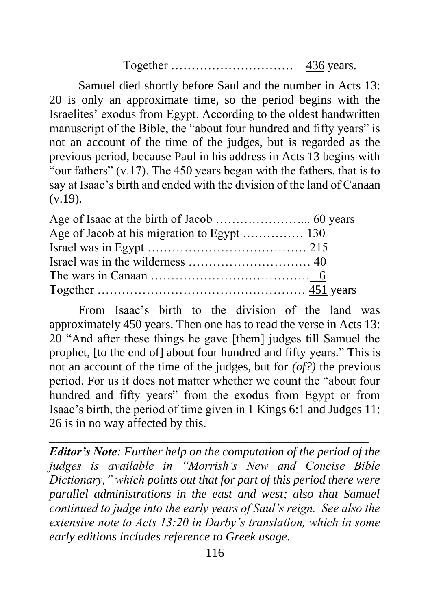Together ………………………… 436 years.

Samuel died shortly before Saul and the number in Acts 13: 20 is only an approximate time, so the period begins with the Israelites' exodus from Egypt. According to the oldest handwritten manuscript of the Bible, the "about four hundred and fifty years" is not an account of the time of the judges, but is regarded as the previous period, because Paul in his address in Acts 13 begins with "our fathers" (v.17). The 450 years began with the fathers, that is to say at Isaac's birth and ended with the division of the land of Canaan  $(v.19)$ .

From Isaac's birth to the division of the land was approximately 450 years. Then one has to read the verse in Acts 13: 20 "And after these things he gave [them] judges till Samuel the prophet, [to the end of] about four hundred and fifty years." This is not an account of the time of the judges, but for *(of?)* the previous period. For us it does not matter whether we count the "about four hundred and fifty years" from the exodus from Egypt or from Isaac's birth, the period of time given in 1 Kings 6:1 and Judges 11: 26 is in no way affected by this.

*Editor's Note: Further help on the computation of the period of the judges is available in "Morrish's New and Concise Bible Dictionary," which points out that for part of this period there were parallel administrations in the east and west; also that Samuel continued to judge into the early years of Saul's reign. See also the extensive note to Acts 13:20 in Darby's translation, which in some early editions includes reference to Greek usage.*

\_\_\_\_\_\_\_\_\_\_\_\_\_\_\_\_\_\_\_\_\_\_\_\_\_\_\_\_\_\_\_\_\_\_\_\_\_\_\_\_\_\_\_\_\_\_\_\_\_\_\_\_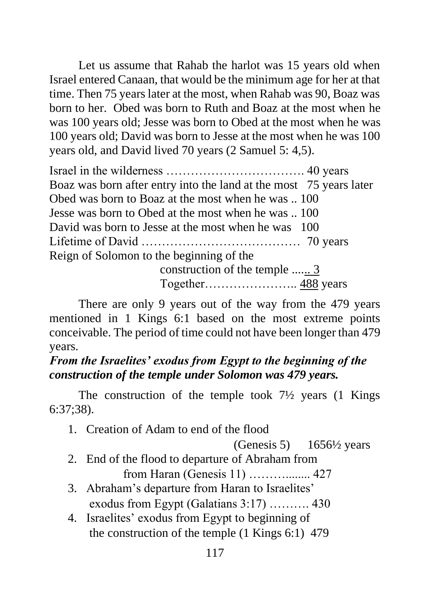Let us assume that Rahab the harlot was 15 years old when Israel entered Canaan, that would be the minimum age for her at that time. Then 75 years later at the most, when Rahab was 90, Boaz was born to her. Obed was born to Ruth and Boaz at the most when he was 100 years old; Jesse was born to Obed at the most when he was 100 years old; David was born to Jesse at the most when he was 100 years old, and David lived 70 years (2 Samuel 5: 4,5).

Israel in the wilderness ……………………………. 40 years Boaz was born after entry into the land at the most 75 years later Obed was born to Boaz at the most when he was .. 100 Jesse was born to Obed at the most when he was .. 100 David was born to Jesse at the most when he was 100 Lifetime of David ………………………………… 70 years Reign of Solomon to the beginning of the

construction of the temple ...... 3 Together………………….. 488 years

There are only 9 years out of the way from the 479 years mentioned in 1 Kings 6:1 based on the most extreme points conceivable. The period of time could not have been longer than 479 years.

#### *From the Israelites' exodus from Egypt to the beginning of the construction of the temple under Solomon was 479 years.*

The construction of the temple took  $7\frac{1}{2}$  years (1 Kings) 6:37;38).

1. Creation of Adam to end of the flood

(Genesis 5)  $1656\frac{1}{2}$  years

- 2. End of the flood to departure of Abraham from from Haran (Genesis 11) ………........ 427
- 3. Abraham's departure from Haran to Israelites' exodus from Egypt (Galatians 3:17) ………. 430
- 4. Israelites' exodus from Egypt to beginning of the construction of the temple (1 Kings 6:1) 479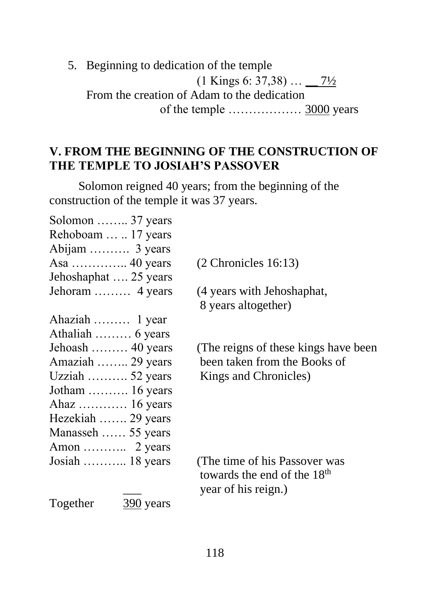5. Beginning to dedication of the temple  $(1 \text{ Kings } 6: 37,38) \dots$  7<sup>1</sup>/<sub>2</sub> From the creation of Adam to the dedication of the temple ……………… 3000 years

#### **V. FROM THE BEGINNING OF THE CONSTRUCTION OF THE TEMPLE TO JOSIAH'S PASSOVER**

Solomon reigned 40 years; from the beginning of the construction of the temple it was 37 years.

| Solomon  37 years     |                                         |
|-----------------------|-----------------------------------------|
| Rehoboam   17 years   |                                         |
| Abijam  3 years       |                                         |
|                       | $(2$ Chronicles 16:13)                  |
| Jehoshaphat  25 years |                                         |
| Jehoram  4 years      | (4 years with Jehoshaphat,              |
|                       | 8 years altogether)                     |
| Ahaziah  1 year       |                                         |
| Athaliah  6 years     |                                         |
| Jehoash  40 years     | (The reigns of these kings have been)   |
| Amaziah  29 years     | been taken from the Books of            |
| Uzziah  52 years      | Kings and Chronicles)                   |
| Jotham  16 years      |                                         |
| Ahaz  16 years        |                                         |
| Hezekiah  29 years    |                                         |
| Manasseh  55 years    |                                         |
|                       |                                         |
| Josiah  18 years      | (The time of his Passover was           |
|                       | towards the end of the 18 <sup>th</sup> |
|                       | year of his reign.)                     |
| $\frac{390}{2}$ years |                                         |
|                       |                                         |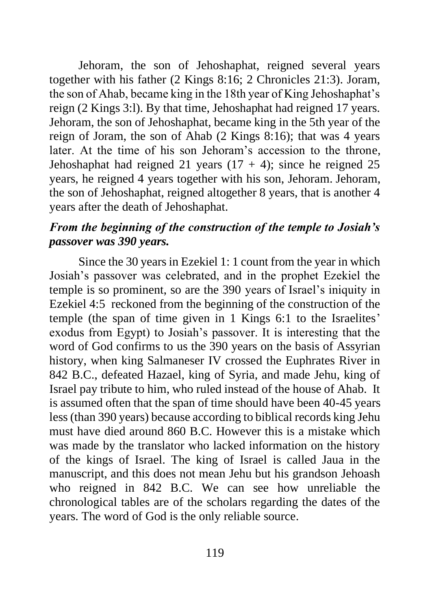Jehoram, the son of Jehoshaphat, reigned several years together with his father (2 Kings 8:16; 2 Chronicles 21:3). Joram, the son of Ahab, became king in the 18th year of King Jehoshaphat's reign (2 Kings 3:l). By that time, Jehoshaphat had reigned 17 years. Jehoram, the son of Jehoshaphat, became king in the 5th year of the reign of Joram, the son of Ahab (2 Kings 8:16); that was 4 years later. At the time of his son Jehoram's accession to the throne, Jehoshaphat had reigned 21 years  $(17 + 4)$ ; since he reigned 25 years, he reigned 4 years together with his son, Jehoram. Jehoram, the son of Jehoshaphat, reigned altogether 8 years, that is another 4 years after the death of Jehoshaphat.

#### *From the beginning of the construction of the temple to Josiah's passover was 390 years.*

Since the 30 years in Ezekiel 1: 1 count from the year in which Josiah's passover was celebrated, and in the prophet Ezekiel the temple is so prominent, so are the 390 years of Israel's iniquity in Ezekiel 4:5 reckoned from the beginning of the construction of the temple (the span of time given in 1 Kings 6:1 to the Israelites' exodus from Egypt) to Josiah's passover. It is interesting that the word of God confirms to us the 390 years on the basis of Assyrian history, when king Salmaneser IV crossed the Euphrates River in 842 B.C., defeated Hazael, king of Syria, and made Jehu, king of Israel pay tribute to him, who ruled instead of the house of Ahab. It is assumed often that the span of time should have been 40-45 years less (than 390 years) because according to biblical records king Jehu must have died around 860 B.C. However this is a mistake which was made by the translator who lacked information on the history of the kings of Israel. The king of Israel is called Jaua in the manuscript, and this does not mean Jehu but his grandson Jehoash who reigned in 842 B.C. We can see how unreliable the chronological tables are of the scholars regarding the dates of the years. The word of God is the only reliable source.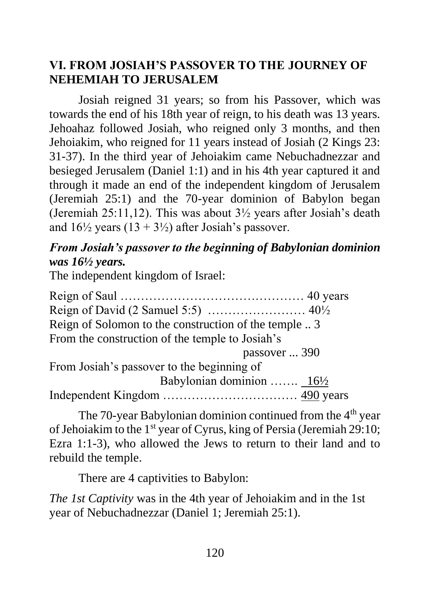## **VI. FROM JOSIAH'S PASSOVER TO THE JOURNEY OF NEHEMIAH TO JERUSALEM**

Josiah reigned 31 years; so from his Passover, which was towards the end of his 18th year of reign, to his death was 13 years. Jehoahaz followed Josiah, who reigned only 3 months, and then Jehoiakim, who reigned for 11 years instead of Josiah (2 Kings 23: 31-37). In the third year of Jehoiakim came Nebuchadnezzar and besieged Jerusalem (Daniel 1:1) and in his 4th year captured it and through it made an end of the independent kingdom of Jerusalem (Jeremiah 25:1) and the 70-year dominion of Babylon began (Jeremiah 25:11,12). This was about  $3\frac{1}{2}$  years after Josiah's death and  $16\frac{1}{2}$  years  $(13 + 3\frac{1}{2})$  after Josiah's passover.

## *From Josiah's passover to the beginning of Babylonian dominion was 16½ years.*

The independent kingdom of Israel:

| Reign of Solomon to the construction of the temple |  |
|----------------------------------------------------|--|
| From the construction of the temple to Josiah's    |  |
| passover  390                                      |  |
| From Josiah's passover to the beginning of         |  |
| Babylonian dominion  16½                           |  |
|                                                    |  |

The 70-year Babylonian dominion continued from the  $4<sup>th</sup>$  year of Jehoiakim to the  $1<sup>st</sup>$  year of Cyrus, king of Persia (Jeremiah 29:10; Ezra 1:1-3), who allowed the Jews to return to their land and to rebuild the temple.

There are 4 captivities to Babylon:

*The 1st Captivity* was in the 4th year of Jehoiakim and in the 1st year of Nebuchadnezzar (Daniel 1; Jeremiah 25:1).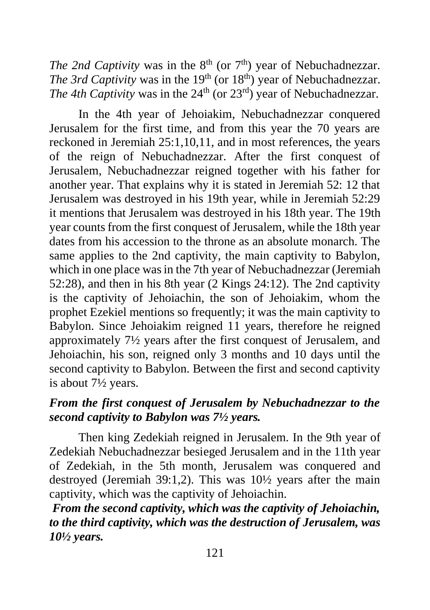*The 2nd Captivity* was in the  $8<sup>th</sup>$  (or  $7<sup>th</sup>$ ) year of Nebuchadnezzar. *The 3rd Captivity* was in the 19<sup>th</sup> (or 18<sup>th</sup>) year of Nebuchadnezzar. *The 4th Captivity was in the 24<sup>th</sup>* (or 23<sup>rd</sup>) year of Nebuchadnezzar.

In the 4th year of Jehoiakim, Nebuchadnezzar conquered Jerusalem for the first time, and from this year the 70 years are reckoned in Jeremiah 25:1,10,11, and in most references, the years of the reign of Nebuchadnezzar. After the first conquest of Jerusalem, Nebuchadnezzar reigned together with his father for another year. That explains why it is stated in Jeremiah 52: 12 that Jerusalem was destroyed in his 19th year, while in Jeremiah 52:29 it mentions that Jerusalem was destroyed in his 18th year. The 19th year counts from the first conquest of Jerusalem, while the 18th year dates from his accession to the throne as an absolute monarch. The same applies to the 2nd captivity, the main captivity to Babylon, which in one place was in the 7th year of Nebuchadnezzar (Jeremiah 52:28), and then in his 8th year (2 Kings 24:12). The 2nd captivity is the captivity of Jehoiachin, the son of Jehoiakim, whom the prophet Ezekiel mentions so frequently; it was the main captivity to Babylon. Since Jehoiakim reigned 11 years, therefore he reigned approximately 7½ years after the first conquest of Jerusalem, and Jehoiachin, his son, reigned only 3 months and 10 days until the second captivity to Babylon. Between the first and second captivity is about 7½ years.

#### *From the first conquest of Jerusalem by Nebuchadnezzar to the second captivity to Babylon was 7½ years.*

Then king Zedekiah reigned in Jerusalem. In the 9th year of Zedekiah Nebuchadnezzar besieged Jerusalem and in the 11th year of Zedekiah, in the 5th month, Jerusalem was conquered and destroyed (Jeremiah 39:1,2). This was 10½ years after the main captivity, which was the captivity of Jehoiachin.

*From the second captivity, which was the captivity of Jehoiachin, to the third captivity, which was the destruction of Jerusalem, was 10½ years.*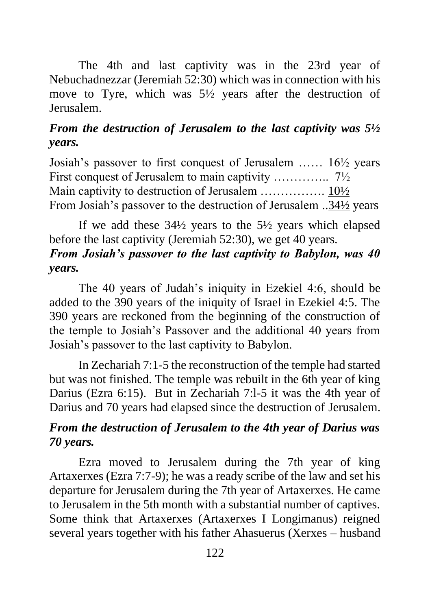The 4th and last captivity was in the 23rd year of Nebuchadnezzar (Jeremiah 52:30) which was in connection with his move to Tyre, which was 5½ years after the destruction of Jerusalem.

## *From the destruction of Jerusalem to the last captivity was 5½ years.*

Josiah's passover to first conquest of Jerusalem …… 16½ years First conquest of Jerusalem to main captivity …………... 7<sup>1</sup>/<sub>2</sub> Main captivity to destruction of Jerusalem ……………. 10½ From Josiah's passover to the destruction of Jerusalem ..34½ years

If we add these  $34\frac{1}{2}$  years to the  $5\frac{1}{2}$  years which elapsed before the last captivity (Jeremiah 52:30), we get 40 years. *From Josiah's passover to the last captivity to Babylon, was 40 years.*

The 40 years of Judah's iniquity in Ezekiel 4:6, should be added to the 390 years of the iniquity of Israel in Ezekiel 4:5. The 390 years are reckoned from the beginning of the construction of the temple to Josiah's Passover and the additional 40 years from Josiah's passover to the last captivity to Babylon.

In Zechariah 7:1-5 the reconstruction of the temple had started but was not finished. The temple was rebuilt in the 6th year of king Darius (Ezra 6:15). But in Zechariah 7:l-5 it was the 4th year of Darius and 70 years had elapsed since the destruction of Jerusalem.

## *From the destruction of Jerusalem to the 4th year of Darius was 70 years.*

Ezra moved to Jerusalem during the 7th year of king Artaxerxes (Ezra 7:7-9); he was a ready scribe of the law and set his departure for Jerusalem during the 7th year of Artaxerxes. He came to Jerusalem in the 5th month with a substantial number of captives. Some think that Artaxerxes (Artaxerxes I Longimanus) reigned several years together with his father Ahasuerus (Xerxes – husband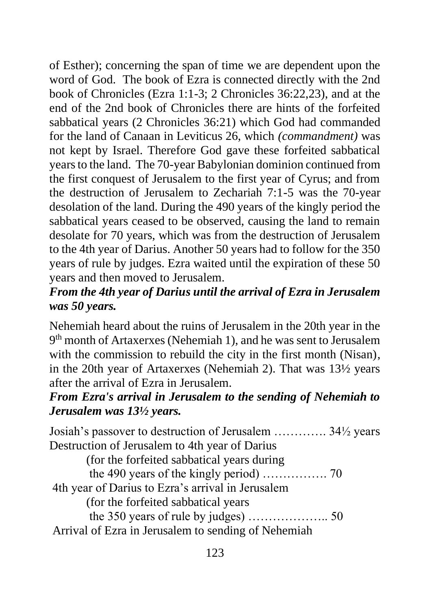of Esther); concerning the span of time we are dependent upon the word of God. The book of Ezra is connected directly with the 2nd book of Chronicles (Ezra 1:1-3; 2 Chronicles 36:22,23), and at the end of the 2nd book of Chronicles there are hints of the forfeited sabbatical years (2 Chronicles 36:21) which God had commanded for the land of Canaan in Leviticus 26, which *(commandment)* was not kept by Israel. Therefore God gave these forfeited sabbatical years to the land. The 70-year Babylonian dominion continued from the first conquest of Jerusalem to the first year of Cyrus; and from the destruction of Jerusalem to Zechariah 7:1-5 was the 70-year desolation of the land. During the 490 years of the kingly period the sabbatical years ceased to be observed, causing the land to remain desolate for 70 years, which was from the destruction of Jerusalem to the 4th year of Darius. Another 50 years had to follow for the 350 years of rule by judges. Ezra waited until the expiration of these 50 years and then moved to Jerusalem.

## *From the 4th year of Darius until the arrival of Ezra in Jerusalem was 50 years.*

Nehemiah heard about the ruins of Jerusalem in the 20th year in the 9<sup>th</sup> month of Artaxerxes (Nehemiah 1), and he was sent to Jerusalem with the commission to rebuild the city in the first month (Nisan), in the 20th year of Artaxerxes (Nehemiah 2). That was 13½ years after the arrival of Ezra in Jerusalem.

#### *From Ezra's arrival in Jerusalem to the sending of Nehemiah to Jerusalem was 13½ years.*

Josiah's passover to destruction of Jerusalem …………. 34½ years Destruction of Jerusalem to 4th year of Darius

(for the forfeited sabbatical years during

the 490 years of the kingly period) ……………. 70 4th year of Darius to Ezra's arrival in Jerusalem

(for the forfeited sabbatical years

the 350 years of rule by judges) ……………….. 50 Arrival of Ezra in Jerusalem to sending of Nehemiah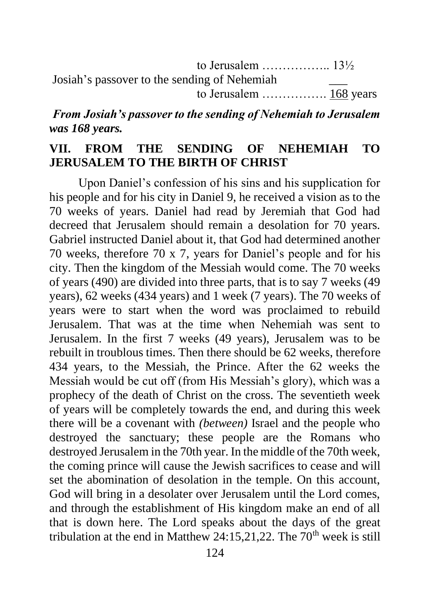| Josiah's passover to the sending of Nehemiah |  |
|----------------------------------------------|--|
|                                              |  |

*From Josiah's passover to the sending of Nehemiah to Jerusalem was 168 years.* 

#### **VII. FROM THE SENDING OF NEHEMIAH TO JERUSALEM TO THE BIRTH OF CHRIST**

Upon Daniel's confession of his sins and his supplication for his people and for his city in Daniel 9, he received a vision as to the 70 weeks of years. Daniel had read by Jeremiah that God had decreed that Jerusalem should remain a desolation for 70 years. Gabriel instructed Daniel about it, that God had determined another 70 weeks, therefore 70 x 7, years for Daniel's people and for his city. Then the kingdom of the Messiah would come. The 70 weeks of years (490) are divided into three parts, that is to say 7 weeks (49 years), 62 weeks (434 years) and 1 week (7 years). The 70 weeks of years were to start when the word was proclaimed to rebuild Jerusalem. That was at the time when Nehemiah was sent to Jerusalem. In the first 7 weeks (49 years), Jerusalem was to be rebuilt in troublous times. Then there should be 62 weeks, therefore 434 years, to the Messiah, the Prince. After the 62 weeks the Messiah would be cut off (from His Messiah's glory), which was a prophecy of the death of Christ on the cross. The seventieth week of years will be completely towards the end, and during this week there will be a covenant with *(between)* Israel and the people who destroyed the sanctuary; these people are the Romans who destroyed Jerusalem in the 70th year. In the middle of the 70th week, the coming prince will cause the Jewish sacrifices to cease and will set the abomination of desolation in the temple. On this account, God will bring in a desolater over Jerusalem until the Lord comes, and through the establishment of His kingdom make an end of all that is down here. The Lord speaks about the days of the great tribulation at the end in Matthew 24:15,21,22. The  $70<sup>th</sup>$  week is still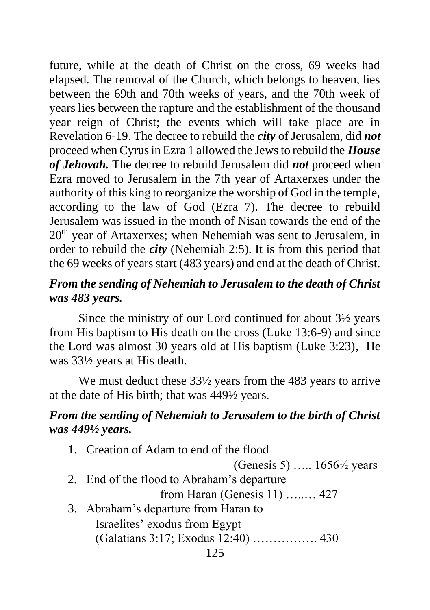future, while at the death of Christ on the cross, 69 weeks had elapsed. The removal of the Church, which belongs to heaven, lies between the 69th and 70th weeks of years, and the 70th week of years lies between the rapture and the establishment of the thousand year reign of Christ; the events which will take place are in Revelation 6-19. The decree to rebuild the *city* of Jerusalem, did *not* proceed when Cyrus in Ezra 1 allowed the Jews to rebuild the *House of Jehovah.* The decree to rebuild Jerusalem did *not* proceed when Ezra moved to Jerusalem in the 7th year of Artaxerxes under the authority of this king to reorganize the worship of God in the temple, according to the law of God (Ezra 7). The decree to rebuild Jerusalem was issued in the month of Nisan towards the end of the 20<sup>th</sup> year of Artaxerxes; when Nehemiah was sent to Jerusalem, in order to rebuild the *city* (Nehemiah 2:5). It is from this period that the 69 weeks of years start (483 years) and end at the death of Christ.

#### *From the sending of Nehemiah to Jerusalem to the death of Christ was 483 years.*

Since the ministry of our Lord continued for about 3½ years from His baptism to His death on the cross (Luke 13:6-9) and since the Lord was almost 30 years old at His baptism (Luke 3:23), He was 33½ years at His death.

We must deduct these  $33\frac{1}{2}$  years from the 483 years to arrive at the date of His birth; that was 449½ years.

#### *From the sending of Nehemiah to Jerusalem to the birth of Christ was 449½ years.*

125 1. Creation of Adam to end of the flood (Genesis 5) ….. 1656½ years 2. End of the flood to Abraham's departure from Haran (Genesis 11) …..… 427 3. Abraham's departure from Haran to Israelites' exodus from Egypt (Galatians 3:17; Exodus 12:40) ……………. 430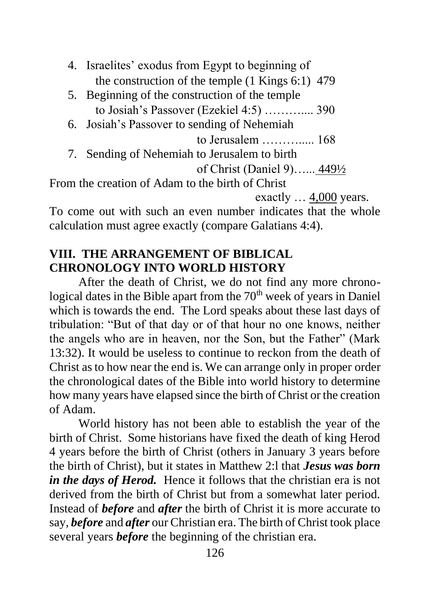- 4. Israelites' exodus from Egypt to beginning of the construction of the temple (1 Kings 6:1) 479
- 5. Beginning of the construction of the temple to Josiah's Passover (Ezekiel 4:5) ……….... 390
- 6. Josiah's Passover to sending of Nehemiah
	- to Jerusalem ………..... 168
- 7. Sending of Nehemiah to Jerusalem to birth

```
of Christ (Daniel 9)…... 449½
```
From the creation of Adam to the birth of Christ

exactly … 4,000 years.

To come out with such an even number indicates that the whole calculation must agree exactly (compare Galatians 4:4).

## **VIII. THE ARRANGEMENT OF BIBLICAL CHRONOLOGY INTO WORLD HISTORY**

After the death of Christ, we do not find any more chronological dates in the Bible apart from the  $70<sup>th</sup>$  week of years in Daniel which is towards the end. The Lord speaks about these last days of tribulation: "But of that day or of that hour no one knows, neither the angels who are in heaven, nor the Son, but the Father" (Mark 13:32). It would be useless to continue to reckon from the death of Christ as to how near the end is. We can arrange only in proper order the chronological dates of the Bible into world history to determine how many years have elapsed since the birth of Christ or the creation of Adam.

World history has not been able to establish the year of the birth of Christ. Some historians have fixed the death of king Herod 4 years before the birth of Christ (others in January 3 years before the birth of Christ), but it states in Matthew 2:l that *Jesus was born in the days of Herod.* Hence it follows that the christian era is not derived from the birth of Christ but from a somewhat later period. Instead of *before* and *after* the birth of Christ it is more accurate to say, *before* and *after* our Christian era. The birth of Christ took place several years *before* the beginning of the christian era.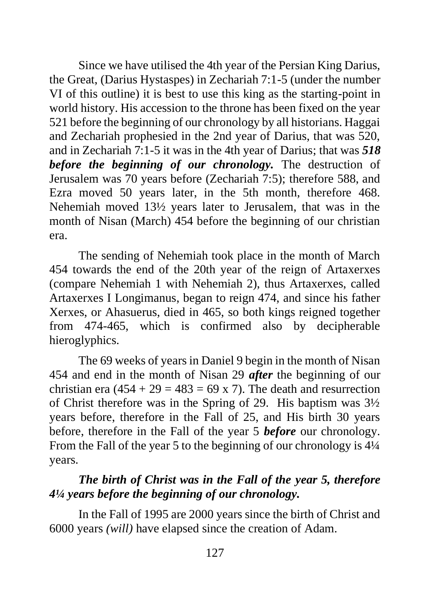Since we have utilised the 4th year of the Persian King Darius, the Great, (Darius Hystaspes) in Zechariah 7:1-5 (under the number VI of this outline) it is best to use this king as the starting-point in world history. His accession to the throne has been fixed on the year 521 before the beginning of our chronology by all historians. Haggai and Zechariah prophesied in the 2nd year of Darius, that was 520, and in Zechariah 7:1-5 it was in the 4th year of Darius; that was *518 before the beginning of our chronology.* The destruction of Jerusalem was 70 years before (Zechariah 7:5); therefore 588, and Ezra moved 50 years later, in the 5th month, therefore 468. Nehemiah moved 13½ years later to Jerusalem, that was in the month of Nisan (March) 454 before the beginning of our christian era.

The sending of Nehemiah took place in the month of March 454 towards the end of the 20th year of the reign of Artaxerxes (compare Nehemiah 1 with Nehemiah 2), thus Artaxerxes, called Artaxerxes I Longimanus, began to reign 474, and since his father Xerxes, or Ahasuerus, died in 465, so both kings reigned together from 474-465, which is confirmed also by decipherable hieroglyphics.

The 69 weeks of years in Daniel 9 begin in the month of Nisan 454 and end in the month of Nisan 29 *after* the beginning of our christian era  $(454 + 29 = 483 = 69 \times 7)$ . The death and resurrection of Christ therefore was in the Spring of 29. His baptism was 3½ years before, therefore in the Fall of 25, and His birth 30 years before, therefore in the Fall of the year 5 *before* our chronology. From the Fall of the year 5 to the beginning of our chronology is  $4\frac{1}{4}$ years.

#### *The birth of Christ was in the Fall of the year 5, therefore 4¼ years before the beginning of our chronology.*

In the Fall of 1995 are 2000 years since the birth of Christ and 6000 years *(will)* have elapsed since the creation of Adam.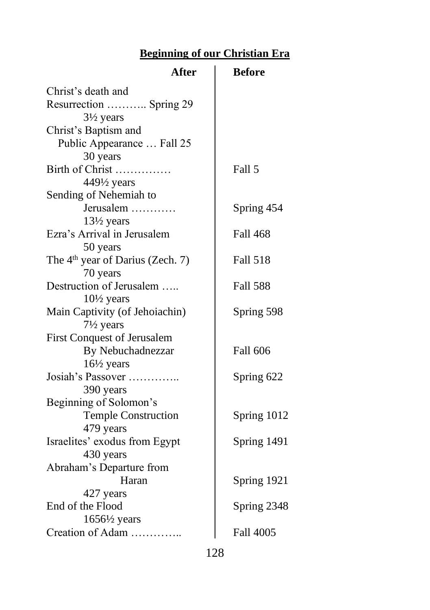## **Beginning of our Christian Era**

| <b>After</b>                                 | <b>Before</b>   |
|----------------------------------------------|-----------------|
| Christ's death and                           |                 |
| Resurrection  Spring 29                      |                 |
| $3\frac{1}{2}$ years                         |                 |
| Christ's Baptism and                         |                 |
| Public Appearance  Fall 25                   |                 |
| 30 years                                     |                 |
| Birth of Christ                              | Fall 5          |
| $449\frac{1}{2}$ years                       |                 |
| Sending of Nehemiah to                       |                 |
| Jerusalem                                    | Spring 454      |
| 13½ years                                    |                 |
| Ezra's Arrival in Jerusalem                  | <b>Fall 468</b> |
| 50 years                                     |                 |
| The 4 <sup>th</sup> year of Darius (Zech. 7) | <b>Fall 518</b> |
| 70 years                                     |                 |
| Destruction of Jerusalem                     | <b>Fall 588</b> |
| $10\frac{1}{2}$ years                        |                 |
| Main Captivity (of Jehoiachin)               | Spring 598      |
| $7\frac{1}{2}$ years                         |                 |
| First Conquest of Jerusalem                  |                 |
| By Nebuchadnezzar                            | <b>Fall 606</b> |
| $16\frac{1}{2}$ years                        |                 |
| Josiah's Passover                            | Spring 622      |
| 390 years                                    |                 |
| Beginning of Solomon's                       |                 |
| <b>Temple Construction</b>                   | Spring 1012     |
| 479 years                                    |                 |
| Israelites' exodus from Egypt<br>430 years   | Spring 1491     |
| Abraham's Departure from                     |                 |
| Haran                                        | Spring 1921     |
| 427 years                                    |                 |
| End of the Flood                             | Spring 2348     |
| $1656\frac{1}{2}$ years                      |                 |
| Creation of Adam                             | Fall 4005       |
|                                              |                 |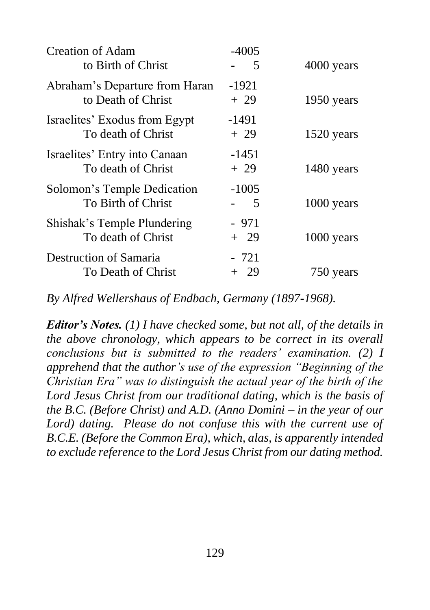| Creation of Adam<br>to Birth of Christ               | $-4005$<br>5    | 4000 years   |
|------------------------------------------------------|-----------------|--------------|
| Abraham's Departure from Haran<br>to Death of Christ | $-1921$<br>+ 29 | 1950 years   |
| Israelites' Exodus from Egypt<br>To death of Christ  | $-1491$<br>+ 29 | 1520 years   |
| Israelites' Entry into Canaan<br>To death of Christ  | $-1451$<br>+ 29 | 1480 years   |
| Solomon's Temple Dedication<br>To Birth of Christ    | $-1005$<br>5    | 1000 years   |
| Shishak's Temple Plundering<br>To death of Christ    | - 971<br>+ 29   | $1000$ years |
| Destruction of Samaria<br>To Death of Christ         | - 721<br>+ 29   | 750 years    |

*By Alfred Wellershaus of Endbach, Germany (1897-1968).*

*Editor's Notes. (1) I have checked some, but not all, of the details in the above chronology, which appears to be correct in its overall conclusions but is submitted to the readers' examination. (2) I apprehend that the author's use of the expression "Beginning of the Christian Era" was to distinguish the actual year of the birth of the Lord Jesus Christ from our traditional dating, which is the basis of the B.C. (Before Christ) and A.D. (Anno Domini – in the year of our Lord) dating. Please do not confuse this with the current use of B.C.E. (Before the Common Era), which, alas, is apparently intended to exclude reference to the Lord Jesus Christ from our dating method.*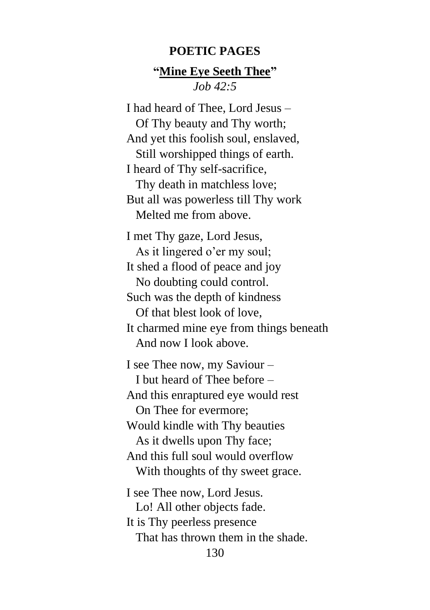#### **POETIC PAGES**

#### **"Mine Eye Seeth Thee"** *Job 42:5*

I had heard of Thee, Lord Jesus – Of Thy beauty and Thy worth; And yet this foolish soul, enslaved, Still worshipped things of earth. I heard of Thy self-sacrifice, Thy death in matchless love; But all was powerless till Thy work Melted me from above.

I met Thy gaze, Lord Jesus, As it lingered o'er my soul; It shed a flood of peace and joy No doubting could control. Such was the depth of kindness Of that blest look of love, It charmed mine eye from things beneath And now I look above. I see Thee now, my Saviour – I but heard of Thee before – And this enraptured eye would rest On Thee for evermore; Would kindle with Thy beauties As it dwells upon Thy face; And this full soul would overflow With thoughts of thy sweet grace.

130 I see Thee now, Lord Jesus. Lo! All other objects fade. It is Thy peerless presence That has thrown them in the shade.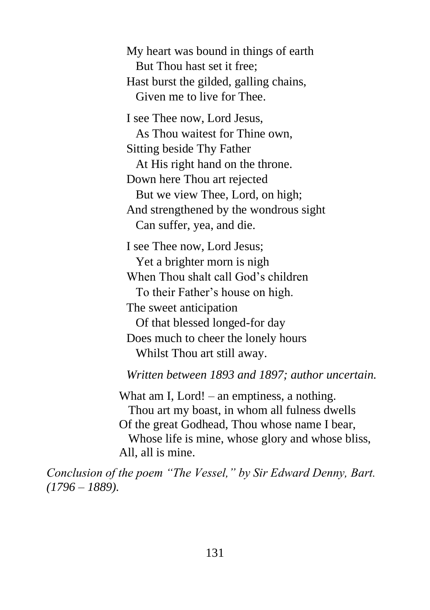My heart was bound in things of earth But Thou hast set it free; Hast burst the gilded, galling chains, Given me to live for Thee.

I see Thee now, Lord Jesus, As Thou waitest for Thine own, Sitting beside Thy Father At His right hand on the throne. Down here Thou art rejected But we view Thee, Lord, on high; And strengthened by the wondrous sight Can suffer, yea, and die.

I see Thee now, Lord Jesus; Yet a brighter morn is nigh When Thou shalt call God's children To their Father's house on high. The sweet anticipation Of that blessed longed-for day Does much to cheer the lonely hours Whilst Thou art still away.

*Written between 1893 and 1897; author uncertain.*

What am I, Lord! – an emptiness, a nothing. Thou art my boast, in whom all fulness dwells Of the great Godhead, Thou whose name I bear, Whose life is mine, whose glory and whose bliss, All, all is mine.

*Conclusion of the poem "The Vessel," by Sir Edward Denny, Bart. (1796 – 1889).*